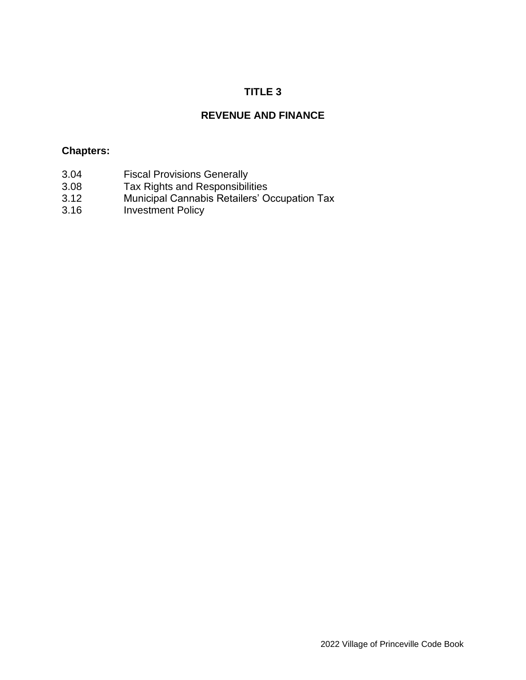# **TITLE 3**

# **REVENUE AND FINANCE**

#### **Chapters:**

- 3.04 Fiscal Provisions Generally<br>3.08 Tax Rights and Responsibili
- Tax Rights and Responsibilities
- 3.12 Municipal Cannabis Retailers' Occupation Tax
- 3.16 Investment Policy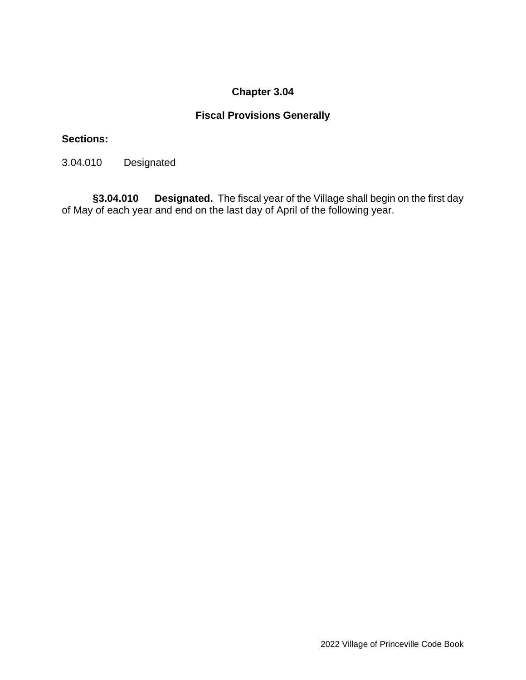# **Fiscal Provisions Generally**

#### **Sections:**

3.04.010 Designated

**§3.04.010 Designated.** The fiscal year of the Village shall begin on the first day of May of each year and end on the last day of April of the following year.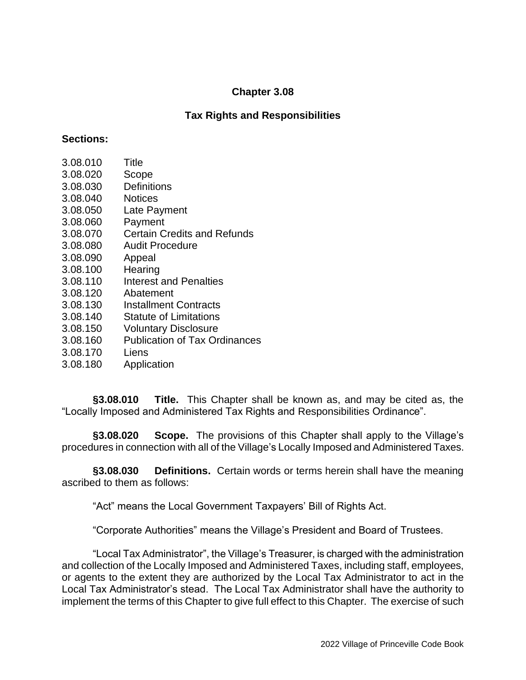### **Tax Rights and Responsibilities**

#### **Sections:**

| 3.08.010 | Title                                |
|----------|--------------------------------------|
| 3.08.020 | Scope                                |
| 3.08.030 | <b>Definitions</b>                   |
| 3.08.040 | <b>Notices</b>                       |
| 3.08.050 | Late Payment                         |
| 3.08.060 | Payment                              |
| 3.08.070 | Certain Credits and Refunds          |
| 3.08.080 | <b>Audit Procedure</b>               |
| 3.08.090 | Appeal                               |
| 3.08.100 | Hearing                              |
| 3.08.110 | <b>Interest and Penalties</b>        |
| 3.08.120 | Abatement                            |
| 3.08.130 | <b>Installment Contracts</b>         |
| 3.08.140 | <b>Statute of Limitations</b>        |
| 3.08.150 | <b>Voluntary Disclosure</b>          |
| 3.08.160 | <b>Publication of Tax Ordinances</b> |

- 3.08.170 Liens
- 3.08.180 Application

**§3.08.010 Title.** This Chapter shall be known as, and may be cited as, the "Locally Imposed and Administered Tax Rights and Responsibilities Ordinance".

**§3.08.020 Scope.** The provisions of this Chapter shall apply to the Village's procedures in connection with all of the Village's Locally Imposed and Administered Taxes.

**§3.08.030 Definitions.** Certain words or terms herein shall have the meaning ascribed to them as follows:

"Act" means the Local Government Taxpayers' Bill of Rights Act.

"Corporate Authorities" means the Village's President and Board of Trustees.

"Local Tax Administrator", the Village's Treasurer, is charged with the administration and collection of the Locally Imposed and Administered Taxes, including staff, employees, or agents to the extent they are authorized by the Local Tax Administrator to act in the Local Tax Administrator's stead. The Local Tax Administrator shall have the authority to implement the terms of this Chapter to give full effect to this Chapter. The exercise of such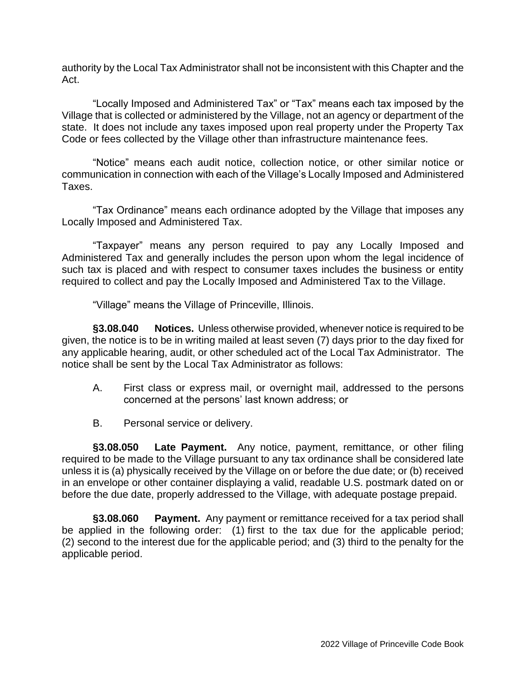authority by the Local Tax Administrator shall not be inconsistent with this Chapter and the Act.

"Locally Imposed and Administered Tax" or "Tax" means each tax imposed by the Village that is collected or administered by the Village, not an agency or department of the state. It does not include any taxes imposed upon real property under the Property Tax Code or fees collected by the Village other than infrastructure maintenance fees.

"Notice" means each audit notice, collection notice, or other similar notice or communication in connection with each of the Village's Locally Imposed and Administered Taxes.

"Tax Ordinance" means each ordinance adopted by the Village that imposes any Locally Imposed and Administered Tax.

"Taxpayer" means any person required to pay any Locally Imposed and Administered Tax and generally includes the person upon whom the legal incidence of such tax is placed and with respect to consumer taxes includes the business or entity required to collect and pay the Locally Imposed and Administered Tax to the Village.

"Village" means the Village of Princeville, Illinois.

**§3.08.040 Notices.** Unless otherwise provided, whenever notice is required to be given, the notice is to be in writing mailed at least seven (7) days prior to the day fixed for any applicable hearing, audit, or other scheduled act of the Local Tax Administrator. The notice shall be sent by the Local Tax Administrator as follows:

- A. First class or express mail, or overnight mail, addressed to the persons concerned at the persons' last known address; or
- B. Personal service or delivery.

**§3.08.050 Late Payment.** Any notice, payment, remittance, or other filing required to be made to the Village pursuant to any tax ordinance shall be considered late unless it is (a) physically received by the Village on or before the due date; or (b) received in an envelope or other container displaying a valid, readable U.S. postmark dated on or before the due date, properly addressed to the Village, with adequate postage prepaid.

**§3.08.060 Payment.** Any payment or remittance received for a tax period shall be applied in the following order: (1) first to the tax due for the applicable period; (2) second to the interest due for the applicable period; and (3) third to the penalty for the applicable period.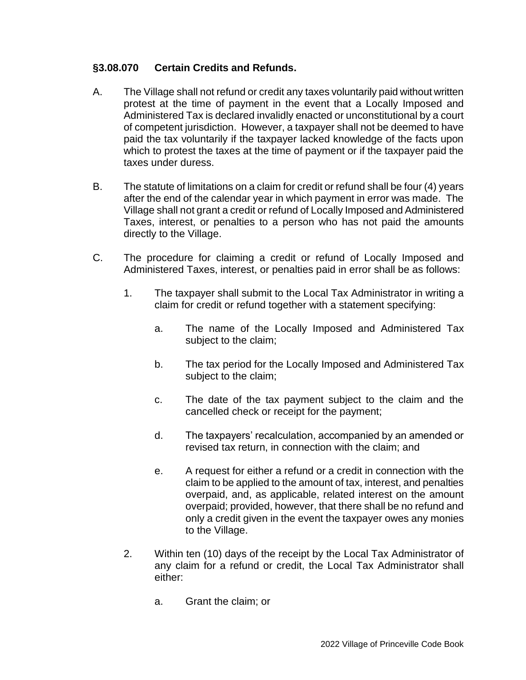#### **§3.08.070 Certain Credits and Refunds.**

- A. The Village shall not refund or credit any taxes voluntarily paid without written protest at the time of payment in the event that a Locally Imposed and Administered Tax is declared invalidly enacted or unconstitutional by a court of competent jurisdiction. However, a taxpayer shall not be deemed to have paid the tax voluntarily if the taxpayer lacked knowledge of the facts upon which to protest the taxes at the time of payment or if the taxpayer paid the taxes under duress.
- B. The statute of limitations on a claim for credit or refund shall be four (4) years after the end of the calendar year in which payment in error was made. The Village shall not grant a credit or refund of Locally Imposed and Administered Taxes, interest, or penalties to a person who has not paid the amounts directly to the Village.
- C. The procedure for claiming a credit or refund of Locally Imposed and Administered Taxes, interest, or penalties paid in error shall be as follows:
	- 1. The taxpayer shall submit to the Local Tax Administrator in writing a claim for credit or refund together with a statement specifying:
		- a. The name of the Locally Imposed and Administered Tax subject to the claim;
		- b. The tax period for the Locally Imposed and Administered Tax subject to the claim;
		- c. The date of the tax payment subject to the claim and the cancelled check or receipt for the payment;
		- d. The taxpayers' recalculation, accompanied by an amended or revised tax return, in connection with the claim; and
		- e. A request for either a refund or a credit in connection with the claim to be applied to the amount of tax, interest, and penalties overpaid, and, as applicable, related interest on the amount overpaid; provided, however, that there shall be no refund and only a credit given in the event the taxpayer owes any monies to the Village.
	- 2. Within ten (10) days of the receipt by the Local Tax Administrator of any claim for a refund or credit, the Local Tax Administrator shall either:
		- a. Grant the claim; or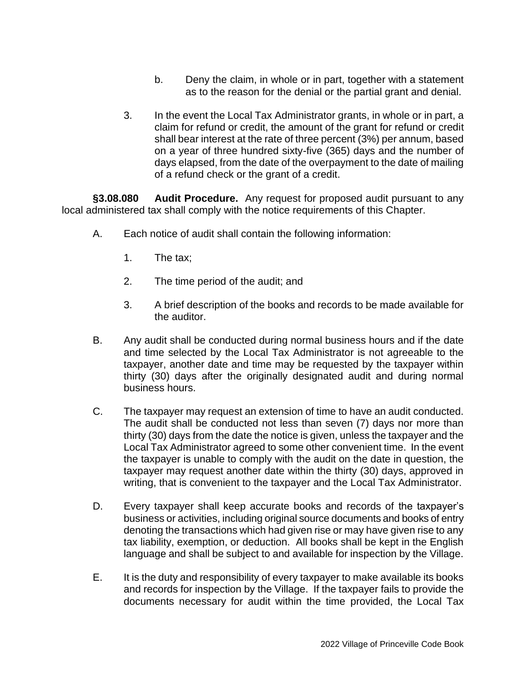- b. Deny the claim, in whole or in part, together with a statement as to the reason for the denial or the partial grant and denial.
- 3. In the event the Local Tax Administrator grants, in whole or in part, a claim for refund or credit, the amount of the grant for refund or credit shall bear interest at the rate of three percent (3%) per annum, based on a year of three hundred sixty-five (365) days and the number of days elapsed, from the date of the overpayment to the date of mailing of a refund check or the grant of a credit.

**§3.08.080 Audit Procedure.** Any request for proposed audit pursuant to any local administered tax shall comply with the notice requirements of this Chapter.

- A. Each notice of audit shall contain the following information:
	- 1. The tax;
	- 2. The time period of the audit; and
	- 3. A brief description of the books and records to be made available for the auditor.
- B. Any audit shall be conducted during normal business hours and if the date and time selected by the Local Tax Administrator is not agreeable to the taxpayer, another date and time may be requested by the taxpayer within thirty (30) days after the originally designated audit and during normal business hours.
- C. The taxpayer may request an extension of time to have an audit conducted. The audit shall be conducted not less than seven (7) days nor more than thirty (30) days from the date the notice is given, unless the taxpayer and the Local Tax Administrator agreed to some other convenient time. In the event the taxpayer is unable to comply with the audit on the date in question, the taxpayer may request another date within the thirty (30) days, approved in writing, that is convenient to the taxpayer and the Local Tax Administrator.
- D. Every taxpayer shall keep accurate books and records of the taxpayer's business or activities, including original source documents and books of entry denoting the transactions which had given rise or may have given rise to any tax liability, exemption, or deduction. All books shall be kept in the English language and shall be subject to and available for inspection by the Village.
- E. It is the duty and responsibility of every taxpayer to make available its books and records for inspection by the Village. If the taxpayer fails to provide the documents necessary for audit within the time provided, the Local Tax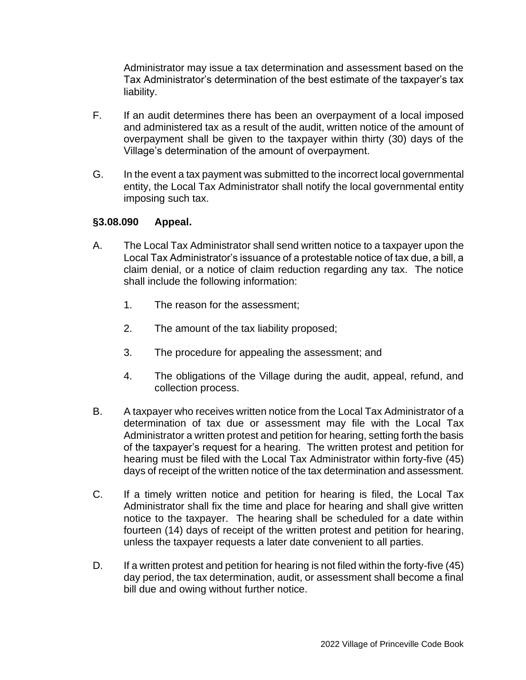Administrator may issue a tax determination and assessment based on the Tax Administrator's determination of the best estimate of the taxpayer's tax liability.

- F. If an audit determines there has been an overpayment of a local imposed and administered tax as a result of the audit, written notice of the amount of overpayment shall be given to the taxpayer within thirty (30) days of the Village's determination of the amount of overpayment.
- G. In the event a tax payment was submitted to the incorrect local governmental entity, the Local Tax Administrator shall notify the local governmental entity imposing such tax.

#### **§3.08.090 Appeal.**

- A. The Local Tax Administrator shall send written notice to a taxpayer upon the Local Tax Administrator's issuance of a protestable notice of tax due, a bill, a claim denial, or a notice of claim reduction regarding any tax. The notice shall include the following information:
	- 1. The reason for the assessment;
	- 2. The amount of the tax liability proposed;
	- 3. The procedure for appealing the assessment; and
	- 4. The obligations of the Village during the audit, appeal, refund, and collection process.
- B. A taxpayer who receives written notice from the Local Tax Administrator of a determination of tax due or assessment may file with the Local Tax Administrator a written protest and petition for hearing, setting forth the basis of the taxpayer's request for a hearing. The written protest and petition for hearing must be filed with the Local Tax Administrator within forty-five (45) days of receipt of the written notice of the tax determination and assessment.
- C. If a timely written notice and petition for hearing is filed, the Local Tax Administrator shall fix the time and place for hearing and shall give written notice to the taxpayer. The hearing shall be scheduled for a date within fourteen (14) days of receipt of the written protest and petition for hearing, unless the taxpayer requests a later date convenient to all parties.
- D. If a written protest and petition for hearing is not filed within the forty-five (45) day period, the tax determination, audit, or assessment shall become a final bill due and owing without further notice.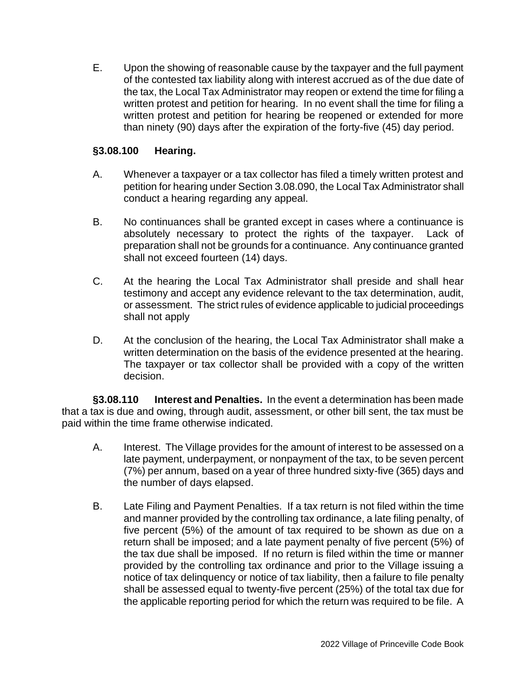E. Upon the showing of reasonable cause by the taxpayer and the full payment of the contested tax liability along with interest accrued as of the due date of the tax, the Local Tax Administrator may reopen or extend the time for filing a written protest and petition for hearing. In no event shall the time for filing a written protest and petition for hearing be reopened or extended for more than ninety (90) days after the expiration of the forty-five (45) day period.

#### **§3.08.100 Hearing.**

- A. Whenever a taxpayer or a tax collector has filed a timely written protest and petition for hearing under Section 3.08.090, the Local Tax Administrator shall conduct a hearing regarding any appeal.
- B. No continuances shall be granted except in cases where a continuance is absolutely necessary to protect the rights of the taxpayer. Lack of preparation shall not be grounds for a continuance. Any continuance granted shall not exceed fourteen (14) days.
- C. At the hearing the Local Tax Administrator shall preside and shall hear testimony and accept any evidence relevant to the tax determination, audit, or assessment. The strict rules of evidence applicable to judicial proceedings shall not apply
- D. At the conclusion of the hearing, the Local Tax Administrator shall make a written determination on the basis of the evidence presented at the hearing. The taxpayer or tax collector shall be provided with a copy of the written decision.

**§3.08.110 Interest and Penalties.** In the event a determination has been made that a tax is due and owing, through audit, assessment, or other bill sent, the tax must be paid within the time frame otherwise indicated.

- A. Interest. The Village provides for the amount of interest to be assessed on a late payment, underpayment, or nonpayment of the tax, to be seven percent (7%) per annum, based on a year of three hundred sixty-five (365) days and the number of days elapsed.
- B. Late Filing and Payment Penalties. If a tax return is not filed within the time and manner provided by the controlling tax ordinance, a late filing penalty, of five percent (5%) of the amount of tax required to be shown as due on a return shall be imposed; and a late payment penalty of five percent (5%) of the tax due shall be imposed. If no return is filed within the time or manner provided by the controlling tax ordinance and prior to the Village issuing a notice of tax delinquency or notice of tax liability, then a failure to file penalty shall be assessed equal to twenty-five percent (25%) of the total tax due for the applicable reporting period for which the return was required to be file. A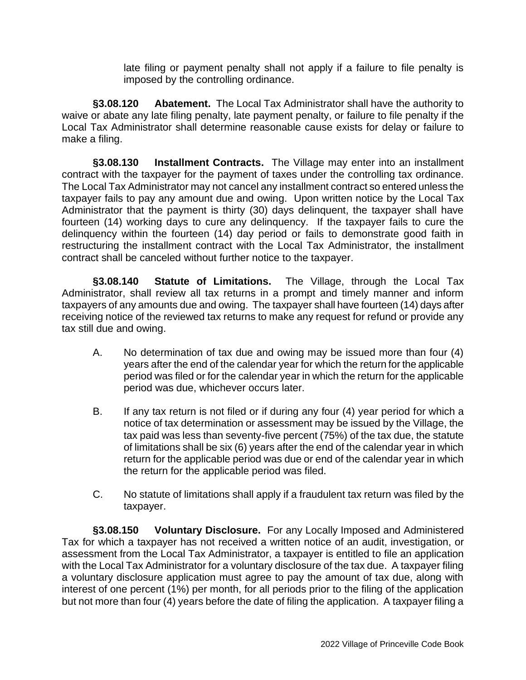late filing or payment penalty shall not apply if a failure to file penalty is imposed by the controlling ordinance.

**§3.08.120 Abatement.** The Local Tax Administrator shall have the authority to waive or abate any late filing penalty, late payment penalty, or failure to file penalty if the Local Tax Administrator shall determine reasonable cause exists for delay or failure to make a filing.

**§3.08.130 Installment Contracts.** The Village may enter into an installment contract with the taxpayer for the payment of taxes under the controlling tax ordinance. The Local Tax Administrator may not cancel any installment contract so entered unless the taxpayer fails to pay any amount due and owing. Upon written notice by the Local Tax Administrator that the payment is thirty (30) days delinquent, the taxpayer shall have fourteen (14) working days to cure any delinquency. If the taxpayer fails to cure the delinquency within the fourteen (14) day period or fails to demonstrate good faith in restructuring the installment contract with the Local Tax Administrator, the installment contract shall be canceled without further notice to the taxpayer.

**§3.08.140 Statute of Limitations.** The Village, through the Local Tax Administrator, shall review all tax returns in a prompt and timely manner and inform taxpayers of any amounts due and owing. The taxpayer shall have fourteen (14) days after receiving notice of the reviewed tax returns to make any request for refund or provide any tax still due and owing.

- A. No determination of tax due and owing may be issued more than four (4) years after the end of the calendar year for which the return for the applicable period was filed or for the calendar year in which the return for the applicable period was due, whichever occurs later.
- B. If any tax return is not filed or if during any four (4) year period for which a notice of tax determination or assessment may be issued by the Village, the tax paid was less than seventy-five percent (75%) of the tax due, the statute of limitations shall be six (6) years after the end of the calendar year in which return for the applicable period was due or end of the calendar year in which the return for the applicable period was filed.
- C. No statute of limitations shall apply if a fraudulent tax return was filed by the taxpayer.

**§3.08.150 Voluntary Disclosure.** For any Locally Imposed and Administered Tax for which a taxpayer has not received a written notice of an audit, investigation, or assessment from the Local Tax Administrator, a taxpayer is entitled to file an application with the Local Tax Administrator for a voluntary disclosure of the tax due. A taxpayer filing a voluntary disclosure application must agree to pay the amount of tax due, along with interest of one percent (1%) per month, for all periods prior to the filing of the application but not more than four (4) years before the date of filing the application. A taxpayer filing a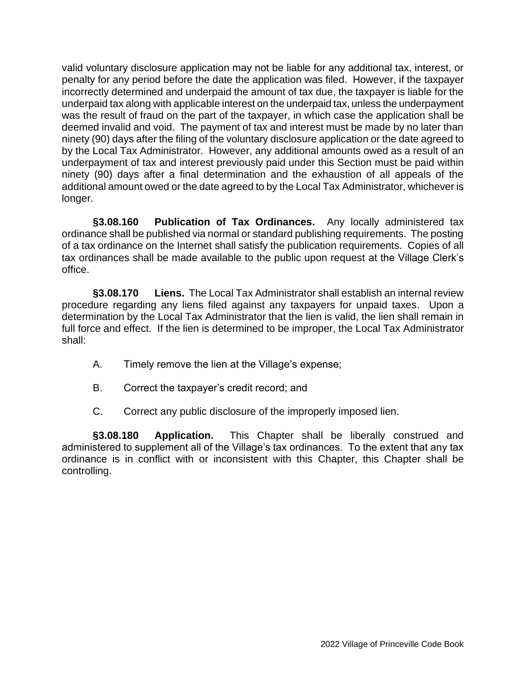valid voluntary disclosure application may not be liable for any additional tax, interest, or penalty for any period before the date the application was filed. However, if the taxpayer incorrectly determined and underpaid the amount of tax due, the taxpayer is liable for the underpaid tax along with applicable interest on the underpaid tax, unless the underpayment was the result of fraud on the part of the taxpayer, in which case the application shall be deemed invalid and void. The payment of tax and interest must be made by no later than ninety (90) days after the filing of the voluntary disclosure application or the date agreed to by the Local Tax Administrator. However, any additional amounts owed as a result of an underpayment of tax and interest previously paid under this Section must be paid within ninety (90) days after a final determination and the exhaustion of all appeals of the additional amount owed or the date agreed to by the Local Tax Administrator, whichever is longer.

**§3.08.160 Publication of Tax Ordinances.** Any locally administered tax ordinance shall be published via normal or standard publishing requirements. The posting of a tax ordinance on the Internet shall satisfy the publication requirements. Copies of all tax ordinances shall be made available to the public upon request at the Village Clerk's office.

**§3.08.170 Liens.** The Local Tax Administrator shall establish an internal review procedure regarding any liens filed against any taxpayers for unpaid taxes. Upon a determination by the Local Tax Administrator that the lien is valid, the lien shall remain in full force and effect. If the lien is determined to be improper, the Local Tax Administrator shall:

- A. Timely remove the lien at the Village's expense;
- B. Correct the taxpayer's credit record; and
- C. Correct any public disclosure of the improperly imposed lien.

**§3.08.180 Application.** This Chapter shall be liberally construed and administered to supplement all of the Village's tax ordinances. To the extent that any tax ordinance is in conflict with or inconsistent with this Chapter, this Chapter shall be controlling.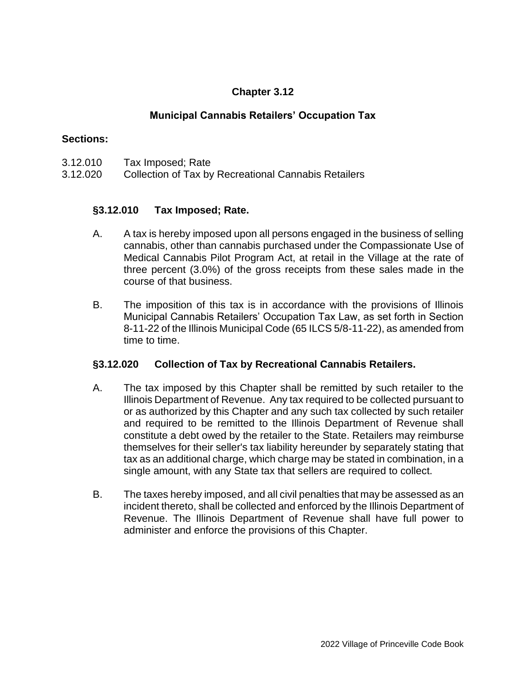### **Municipal Cannabis Retailers' Occupation Tax**

#### **Sections:**

- 3.12.010 Tax Imposed; Rate
- 3.12.020 Collection of Tax by Recreational Cannabis Retailers

#### **§3.12.010 Tax Imposed; Rate.**

- A. A tax is hereby imposed upon all persons engaged in the business of selling cannabis, other than cannabis purchased under the Compassionate Use of Medical Cannabis Pilot Program Act, at retail in the Village at the rate of three percent (3.0%) of the gross receipts from these sales made in the course of that business.
- B. The imposition of this tax is in accordance with the provisions of Illinois Municipal Cannabis Retailers' Occupation Tax Law, as set forth in Section 8-11-22 of the Illinois Municipal Code (65 ILCS 5/8-11-22), as amended from time to time.

#### **§3.12.020 Collection of Tax by Recreational Cannabis Retailers.**

- A. The tax imposed by this Chapter shall be remitted by such retailer to the Illinois Department of Revenue. Any tax required to be collected pursuant to or as authorized by this Chapter and any such tax collected by such retailer and required to be remitted to the Illinois Department of Revenue shall constitute a debt owed by the retailer to the State. Retailers may reimburse themselves for their seller's tax liability hereunder by separately stating that tax as an additional charge, which charge may be stated in combination, in a single amount, with any State tax that sellers are required to collect.
- B. The taxes hereby imposed, and all civil penalties that may be assessed as an incident thereto, shall be collected and enforced by the Illinois Department of Revenue. The Illinois Department of Revenue shall have full power to administer and enforce the provisions of this Chapter.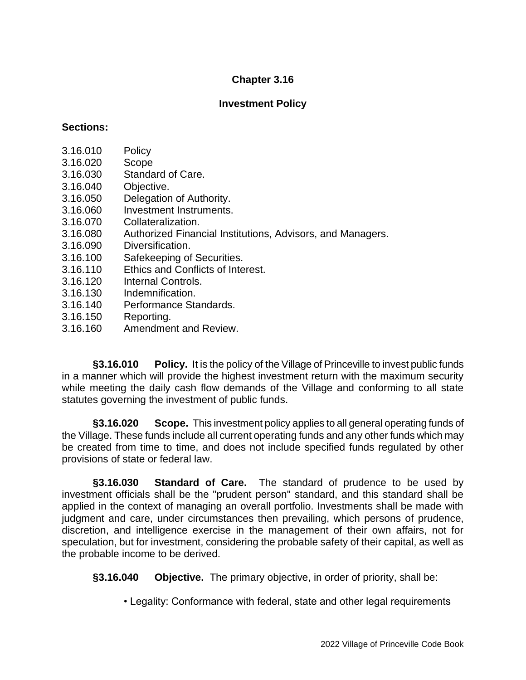#### **Investment Policy**

#### **Sections:**

- 3.16.010 Policy
- 3.16.020 Scope
- 3.16.030 Standard of Care.
- 3.16.040 Objective.
- 3.16.050 Delegation of Authority.
- 3.16.060 Investment Instruments.
- 3.16.070 Collateralization.
- 3.16.080 Authorized Financial Institutions, Advisors, and Managers.
- 3.16.090 Diversification.
- 3.16.100 Safekeeping of Securities.
- 3.16.110 Ethics and Conflicts of Interest.
- 3.16.120 Internal Controls.
- 3.16.130 Indemnification.
- 3.16.140 Performance Standards.
- 3.16.150 Reporting.
- 3.16.160 Amendment and Review.

**§3.16.010 Policy.** It is the policy of the Village of Princeville to invest public funds in a manner which will provide the highest investment return with the maximum security while meeting the daily cash flow demands of the Village and conforming to all state statutes governing the investment of public funds.

**§3.16.020 Scope.** This investment policy applies to all general operating funds of the Village. These funds include all current operating funds and any other funds which may be created from time to time, and does not include specified funds regulated by other provisions of state or federal law.

**§3.16.030 Standard of Care.** The standard of prudence to be used by investment officials shall be the "prudent person" standard, and this standard shall be applied in the context of managing an overall portfolio. Investments shall be made with judgment and care, under circumstances then prevailing, which persons of prudence, discretion, and intelligence exercise in the management of their own affairs, not for speculation, but for investment, considering the probable safety of their capital, as well as the probable income to be derived.

**§3.16.040 Objective.** The primary objective, in order of priority, shall be:

• Legality: Conformance with federal, state and other legal requirements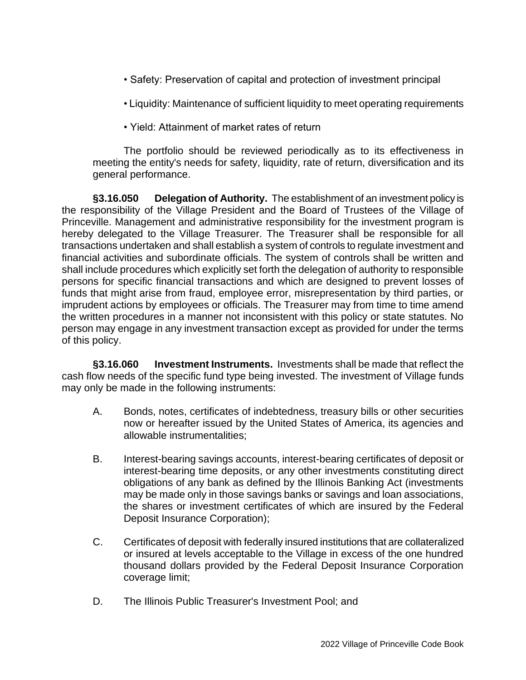- Safety: Preservation of capital and protection of investment principal
- Liquidity: Maintenance of sufficient liquidity to meet operating requirements
- Yield: Attainment of market rates of return

The portfolio should be reviewed periodically as to its effectiveness in meeting the entity's needs for safety, liquidity, rate of return, diversification and its general performance.

**§3.16.050 Delegation of Authority.** The establishment of an investment policy is the responsibility of the Village President and the Board of Trustees of the Village of Princeville. Management and administrative responsibility for the investment program is hereby delegated to the Village Treasurer. The Treasurer shall be responsible for all transactions undertaken and shall establish a system of controls to regulate investment and financial activities and subordinate officials. The system of controls shall be written and shall include procedures which explicitly set forth the delegation of authority to responsible persons for specific financial transactions and which are designed to prevent losses of funds that might arise from fraud, employee error, misrepresentation by third parties, or imprudent actions by employees or officials. The Treasurer may from time to time amend the written procedures in a manner not inconsistent with this policy or state statutes. No person may engage in any investment transaction except as provided for under the terms of this policy.

**§3.16.060 Investment Instruments.** Investments shall be made that reflect the cash flow needs of the specific fund type being invested. The investment of Village funds may only be made in the following instruments:

- A. Bonds, notes, certificates of indebtedness, treasury bills or other securities now or hereafter issued by the United States of America, its agencies and allowable instrumentalities;
- B. Interest-bearing savings accounts, interest-bearing certificates of deposit or interest-bearing time deposits, or any other investments constituting direct obligations of any bank as defined by the Illinois Banking Act (investments may be made only in those savings banks or savings and loan associations, the shares or investment certificates of which are insured by the Federal Deposit Insurance Corporation);
- C. Certificates of deposit with federally insured institutions that are collateralized or insured at levels acceptable to the Village in excess of the one hundred thousand dollars provided by the Federal Deposit Insurance Corporation coverage limit;
- D. The Illinois Public Treasurer's Investment Pool; and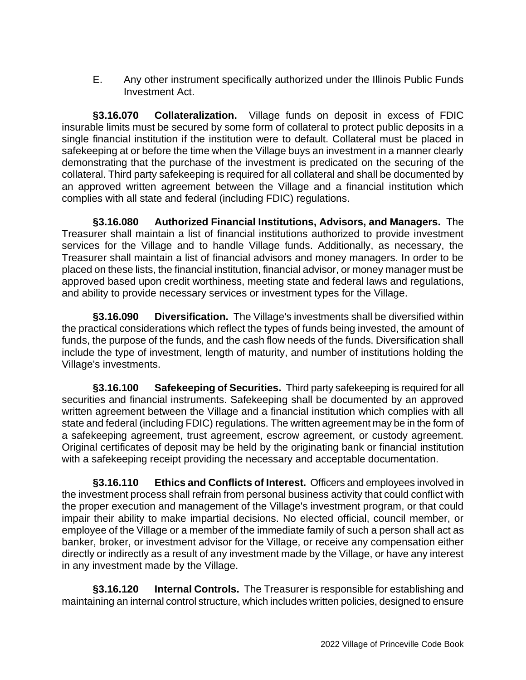E. Any other instrument specifically authorized under the Illinois Public Funds Investment Act.

**§3.16.070 Collateralization.** Village funds on deposit in excess of FDIC insurable limits must be secured by some form of collateral to protect public deposits in a single financial institution if the institution were to default. Collateral must be placed in safekeeping at or before the time when the Village buys an investment in a manner clearly demonstrating that the purchase of the investment is predicated on the securing of the collateral. Third party safekeeping is required for all collateral and shall be documented by an approved written agreement between the Village and a financial institution which complies with all state and federal (including FDIC) regulations.

**§3.16.080 Authorized Financial Institutions, Advisors, and Managers.** The Treasurer shall maintain a list of financial institutions authorized to provide investment services for the Village and to handle Village funds. Additionally, as necessary, the Treasurer shall maintain a list of financial advisors and money managers. In order to be placed on these lists, the financial institution, financial advisor, or money manager must be approved based upon credit worthiness, meeting state and federal laws and regulations, and ability to provide necessary services or investment types for the Village.

**§3.16.090 Diversification.** The Village's investments shall be diversified within the practical considerations which reflect the types of funds being invested, the amount of funds, the purpose of the funds, and the cash flow needs of the funds. Diversification shall include the type of investment, length of maturity, and number of institutions holding the Village's investments.

**§3.16.100 Safekeeping of Securities.** Third party safekeeping is required for all securities and financial instruments. Safekeeping shall be documented by an approved written agreement between the Village and a financial institution which complies with all state and federal (including FDIC) regulations. The written agreement may be in the form of a safekeeping agreement, trust agreement, escrow agreement, or custody agreement. Original certificates of deposit may be held by the originating bank or financial institution with a safekeeping receipt providing the necessary and acceptable documentation.

**§3.16.110 Ethics and Conflicts of Interest.** Officers and employees involved in the investment process shall refrain from personal business activity that could conflict with the proper execution and management of the Village's investment program, or that could impair their ability to make impartial decisions. No elected official, council member, or employee of the Village or a member of the immediate family of such a person shall act as banker, broker, or investment advisor for the Village, or receive any compensation either directly or indirectly as a result of any investment made by the Village, or have any interest in any investment made by the Village.

**§3.16.120 Internal Controls.** The Treasurer is responsible for establishing and maintaining an internal control structure, which includes written policies, designed to ensure